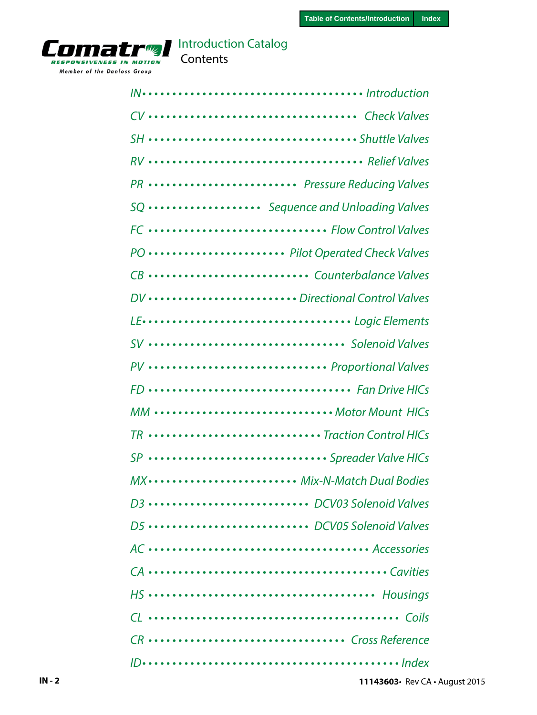

# Contents

| CV  Check Valves                  |
|-----------------------------------|
|                                   |
|                                   |
| PR  Pressure Reducing Valves      |
| SQ  Sequence and Unloading Valves |
| FC Flow Control Valves            |
| PO  Pilot Operated Check Valves   |
| CB  Counterbalance Valves         |
| DV Directional Control Valves     |
|                                   |
| SV  Solenoid Valves               |
| PV  Proportional Valves           |
| FD  Fan Drive HICs                |
| MM Motor Mount HICs               |
| TR  Traction Control HICs         |
| SP  Spreader Valve HICs           |
| MX  Mix-N-Match Dual Bodies       |
| D3  DCV03 Solenoid Valves         |
| D5  DCV05 Solenoid Valves         |
|                                   |
|                                   |
|                                   |
|                                   |
| CR  Cross Reference               |
|                                   |

**11143603**• Rev [CA](#page-1-0) • August 2015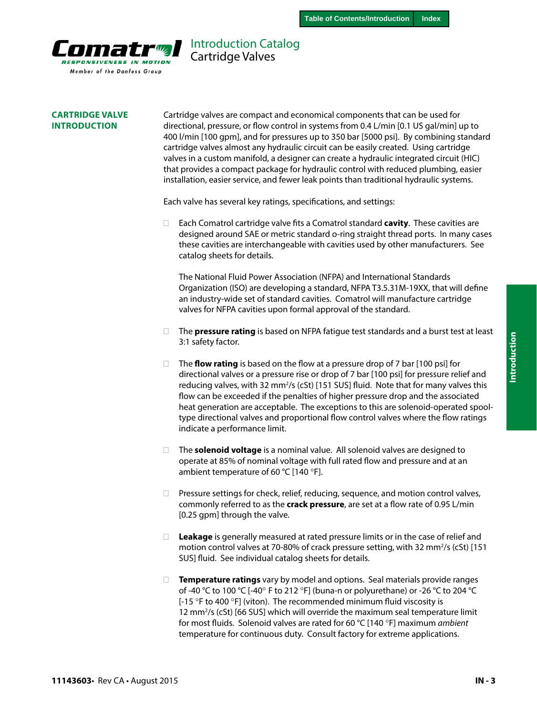<span id="page-1-0"></span>

## Introduction Catalog Cartridge Valves

#### **CARTRIDGE VALVE INTRODUCTION**

Cartridge valves are compact and economical components that can be used for directional, pressure, or flow control in systems from 0.4 L/min [0.1 US gal/min] up to 400 l/min [100 gpm], and for pressures up to 350 bar [5000 psi]. By combining standard cartridge valves almost any hydraulic circuit can be easily created. Using cartridge valves in a custom manifold, a designer can create a hydraulic integrated circuit (HIC) that provides a compact package for hydraulic control with reduced plumbing, easier installation, easier service, and fewer leak points than traditional hydraulic systems.

Each valve has several key ratings, specifications, and settings:

· Each Comatrol cartridge valve fits a Comatrol standard **cavity**. These cavities are designed around SAE or metric standard o-ring straight thread ports. In many cases these cavities are interchangeable with cavities used by other manufacturers. See catalog sheets for details.

The National Fluid Power Association (NFPA) and International Standards Organization (ISO) are developing a standard, NFPA T3.5.31M-19XX, that will define an industry-wide set of standard cavities. Comatrol will manufacture cartridge valves for NFPA cavities upon formal approval of the standard.

- □ The **pressure rating** is based on NFPA fatigue test standards and a burst test at least 3:1 safety factor.
- □ The **flow rating** is based on the flow at a pressure drop of 7 bar [100 psi] for directional valves or a pressure rise or drop of 7 bar [100 psi] for pressure relief and reducing valves, with 32 mm<sup>2</sup>/s (cSt) [151 SUS] fluid. Note that for many valves this flow can be exceeded if the penalties of higher pressure drop and the associated heat generation are acceptable. The exceptions to this are solenoid-operated spooltype directional valves and proportional flow control valves where the flow ratings indicate a performance limit.
- · The **solenoid voltage** is a nominal value. All solenoid valves are designed to operate at 85% of nominal voltage with full rated flow and pressure and at an ambient temperature of 60 °C [140 °F].
- $\Box$  Pressure settings for check, relief, reducing, sequence, and motion control valves, commonly referred to as the **crack pressure**, are set at a flow rate of 0.95 L/min [0.25 gpm] through the valve.
- **Leakage** is generally measured at rated pressure limits or in the case of relief and motion control valves at 70-80% of crack pressure setting, with 32 mm<sup>2</sup>/s (cSt) [151 SUS] fluid. See individual catalog sheets for details.
- **Temperature ratings** vary by model and options. Seal materials provide ranges of -40 °C to 100 °C [-40° F to 212 °F] (buna-n or polyurethane) or -26 °C to 204 °C [-15 °F to 400 °F] (viton). The recommended minimum fluid viscosity is 12 mm2 /s (cSt) [66 SUS] which will override the maximum seal temperature limit for most fluids. Solenoid valves are rated for 60 °C [140 °F] maximum *ambient*  temperature for continuous duty. Consult factory for extreme applications.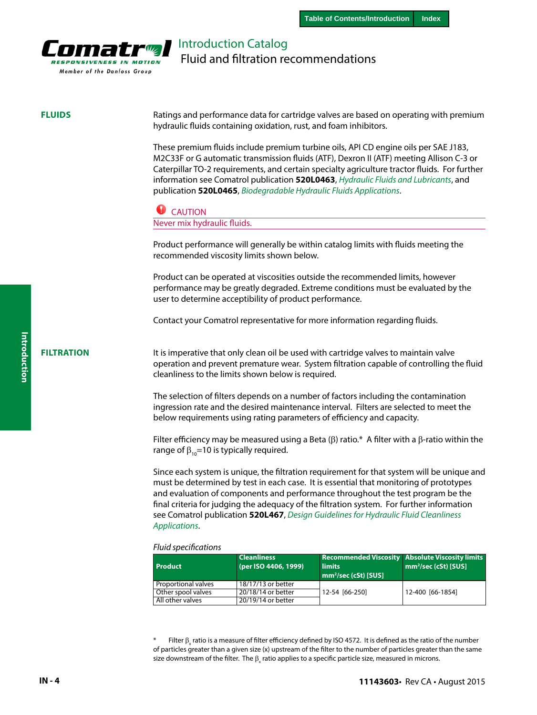

# Introduction Catalog Fluid and filtration recommendations

#### **FLUIDS**

Ratings and performance data for cartridge valves are based on operating with premium hydraulic fluids containing oxidation, rust, and foam inhibitors.

These premium fluids include premium turbine oils, API CD engine oils per SAE J183, M2C33F or G automatic transmission fluids (ATF), Dexron II (ATF) meeting Allison C-3 or Caterpillar TO-2 requirements, and certain specialty agriculture tractor fluids. For further information see Comatrol publication **520L0463**, *Hydraulic Fluids and Lubricants*, and publication **520L0465**, *Biodegradable Hydraulic Fluids Applications*.

#### **CAUTION**

Never mix hydraulic fluids.

Product performance will generally be within catalog limits with fluids meeting the recommended viscosity limits shown below.

Product can be operated at viscosities outside the recommended limits, however performance may be greatly degraded. Extreme conditions must be evaluated by the user to determine acceptibility of product performance.

Contact your Comatrol representative for more information regarding fluids.

#### **FILTRATION**

It is imperative that only clean oil be used with cartridge valves to maintain valve operation and prevent premature wear. System filtration capable of controlling the fluid cleanliness to the limits shown below is required.

The selection of filters depends on a number of factors including the contamination ingression rate and the desired maintenance interval. Filters are selected to meet the below requirements using rating parameters of efficiency and capacity.

Filter efficiency may be measured using a Beta (β) ratio.\* A filter with a  $β$ -ratio within the range of  $β<sub>10</sub>=10$  is typically required.

Since each system is unique, the filtration requirement for that system will be unique and must be determined by test in each case. It is essential that monitoring of prototypes and evaluation of components and performance throughout the test program be the final criteria for judging the adequacy of the filtration system. For further information see Comatrol publication **520L467**, *Design Guidelines for Hydraulic Fluid Cleanliness Applications*.

#### *Fluid specifications*

| Product             | <b>Cleanliness</b><br>(per ISO 4406, 1999) | <b>limits</b><br>$mm^2/sec$ (cSt) [SUS] | <b>Recommended Viscosity Absolute Viscosity limits</b><br>$mm2/sec (cSt)$ [SUS] |
|---------------------|--------------------------------------------|-----------------------------------------|---------------------------------------------------------------------------------|
| Proportional valves | 18/17/13 or better                         |                                         |                                                                                 |
| Other spool valves  | 20/18/14 or better                         | 12-54 [66-250]                          | 12-400 [66-1854]                                                                |
| All other valves    | 20/19/14 or better                         |                                         |                                                                                 |

 $*$  Filter  $\beta_x$  ratio is a measure of filter efficiency defined by ISO 4572. It is defined as the ratio of the number of particles greater than a given size (x) upstream of the filter to the number of particles greater than the same size downstream of the filter. The  $\beta_{\sf x}$  ratio applies to a specific particle size, measured in microns.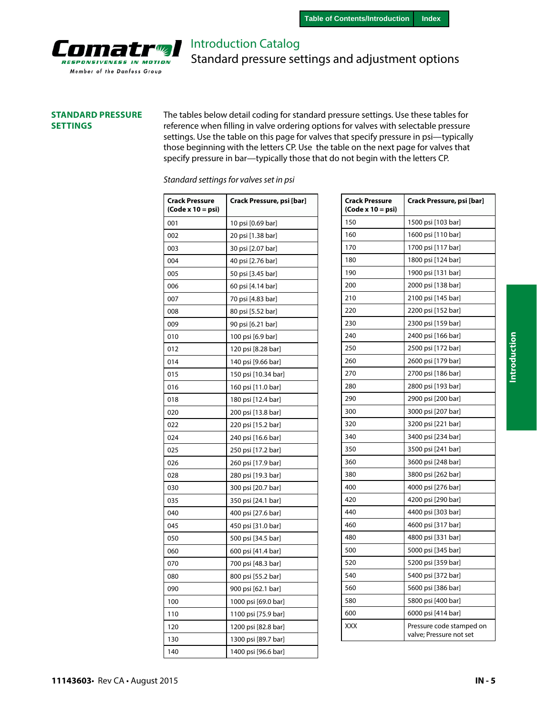

Introduction Catalog Standard pressure settings and adjustment options

#### **STANDARD PRESSURE SETTINGS**

The tables below detail coding for standard pressure settings. Use these tables for reference when filling in valve ordering options for valves with selectable pressure settings. Use the table on this page for valves that specify pressure in psi—typically those beginning with the letters CP. Use the table on the next page for valves that specify pressure in bar—typically those that do not begin with the letters CP.

| Standard settings for valves set in psi |  |  |
|-----------------------------------------|--|--|
|                                         |  |  |

| Crack Pressure<br>$(Code x 10 = psi)$ | Crack Pressure, psi [bar] |
|---------------------------------------|---------------------------|
| 001                                   | 10 psi [0.69 bar]         |
| 002                                   | 20 psi [1.38 bar]         |
| 003                                   | 30 psi [2.07 bar]         |
| 004                                   | 40 psi [2.76 bar]         |
| 005                                   | 50 psi [3.45 bar]         |
| 006                                   | 60 psi [4.14 bar]         |
| 007                                   | 70 psi [4.83 bar]         |
| 008                                   | 80 psi [5.52 bar]         |
| 009                                   | 90 psi [6.21 bar]         |
| 010                                   | 100 psi [6.9 bar]         |
| 012                                   | 120 psi [8.28 bar]        |
| 014                                   | 140 psi [9.66 bar]        |
| 015                                   | 150 psi [10.34 bar]       |
| 016                                   | 160 psi [11.0 bar]        |
| 018                                   | 180 psi [12.4 bar]        |
| 020                                   | 200 psi [13.8 bar]        |
| 022                                   | 220 psi [15.2 bar]        |
| 024                                   | 240 psi [16.6 bar]        |
| 025                                   | 250 psi [17.2 bar]        |
| 026                                   | 260 psi [17.9 bar]        |
| 028                                   | 280 psi [19.3 bar]        |
| 030                                   | 300 psi [20.7 bar]        |
| 035                                   | 350 psi [24.1 bar]        |
| 040                                   | 400 psi [27.6 bar]        |
| 045                                   | 450 psi [31.0 bar]        |
| 050                                   | 500 psi [34.5 bar]        |
| 060                                   | 600 psi [41.4 bar]        |
| 070                                   | 700 psi [48.3 bar]        |
| 080                                   | 800 psi [55.2 bar]        |
| 090                                   | 900 psi [62.1 bar]        |
| 100                                   | 1000 psi [69.0 bar]       |
| 110                                   | 1100 psi [75.9 bar]       |
| 120                                   | 1200 psi [82.8 bar]       |
| 130                                   | 1300 psi [89.7 bar]       |
| 140                                   | 1400 psi [96.6 bar]       |

| <b>Crack Pressure</b><br>(Code x 10 = psi) | Crack Pressure, psi [bar]                           |
|--------------------------------------------|-----------------------------------------------------|
| 150                                        | 1500 psi [103 bar]                                  |
| 160                                        | 1600 psi [110 bar]                                  |
| 170                                        | 1700 psi [117 bar]                                  |
| 180                                        | 1800 psi [124 bar]                                  |
| 190                                        | 1900 psi [131 bar]                                  |
| 200                                        | 2000 psi [138 bar]                                  |
| 210                                        | 2100 psi [145 bar]                                  |
| 220                                        | 2200 psi [152 bar]                                  |
| 230                                        | 2300 psi [159 bar]                                  |
| 240                                        | 2400 psi [166 bar]                                  |
| 250                                        | 2500 psi [172 bar]                                  |
| 260                                        | 2600 psi [179 bar]                                  |
| 270                                        | 2700 psi [186 bar]                                  |
| 280                                        | 2800 psi [193 bar]                                  |
| 290                                        | 2900 psi [200 bar]                                  |
| 300                                        | 3000 psi [207 bar]                                  |
| 320                                        | 3200 psi [221 bar]                                  |
| 340                                        | 3400 psi [234 bar]                                  |
| 350                                        | 3500 psi [241 bar]                                  |
| 360                                        | 3600 psi [248 bar]                                  |
| 380                                        | 3800 psi [262 bar]                                  |
| 400                                        | 4000 psi [276 bar]                                  |
| 420                                        | 4200 psi [290 bar]                                  |
| 440                                        | 4400 psi [303 bar]                                  |
| 460                                        | 4600 psi [317 bar]                                  |
| 480                                        | 4800 psi [331 bar]                                  |
| 500                                        | 5000 psi [345 bar]                                  |
| 520                                        | 5200 psi [359 bar]                                  |
| 540                                        | 5400 psi [372 bar]                                  |
| 560                                        | 5600 psi [386 bar]                                  |
| 580                                        | 5800 psi [400 bar]                                  |
| 600                                        | 6000 psi [414 bar]                                  |
| XXX                                        | Pressure code stamped on<br>valve; Pressure not set |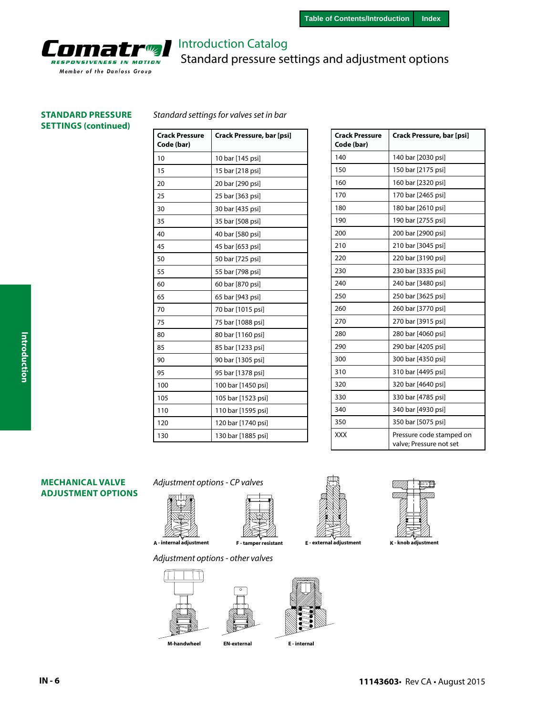

# Introduction Catalog Standard pressure settings and adjustment options

# **SETTINGS (continued)**

#### **STANDARD PRESSURE** *Standard settings for valves set in bar*

| <b>Crack Pressure</b><br>Code (bar) | Crack Pressure, bar [psi] |
|-------------------------------------|---------------------------|
| 10                                  | 10 bar [145 psi]          |
| 15                                  | 15 bar [218 psi]          |
| 20                                  | 20 bar [290 psi]          |
| 25                                  | 25 bar [363 psi]          |
| 30                                  | 30 bar [435 psi]          |
| 35                                  | 35 bar [508 psi]          |
| 40                                  | 40 bar [580 psi]          |
| 45                                  | 45 bar [653 psi]          |
| 50                                  | 50 bar [725 psi]          |
| 55                                  | 55 bar [798 psi]          |
| 60                                  | 60 bar [870 psi]          |
| 65                                  | 65 bar [943 psi]          |
| 70                                  | 70 bar [1015 psi]         |
| 75                                  | 75 bar [1088 psi]         |
| 80                                  | 80 bar [1160 psi]         |
| 85                                  | 85 bar [1233 psi]         |
| 90                                  | 90 bar [1305 psi]         |
| 95                                  | 95 bar [1378 psi]         |
| 100                                 | 100 bar [1450 psi]        |
| 105                                 | 105 bar [1523 psi]        |
| 110                                 | 110 bar [1595 psi]        |
| 120                                 | 120 bar [1740 psi]        |
| 130                                 | 130 bar [1885 psi]        |

| <b>Crack Pressure</b><br>Code (bar) | Crack Pressure, bar [psi]                           |
|-------------------------------------|-----------------------------------------------------|
| 140                                 | 140 bar [2030 psi]                                  |
| 150                                 | 150 bar [2175 psi]                                  |
| 160                                 | 160 bar [2320 psi]                                  |
| 170                                 | 170 bar [2465 psi]                                  |
| 180                                 | 180 bar [2610 psi]                                  |
| 190                                 | 190 bar [2755 psi]                                  |
| 200                                 | 200 bar [2900 psi]                                  |
| 210                                 | 210 bar [3045 psi]                                  |
| 220                                 | 220 bar [3190 psi]                                  |
| 230                                 | 230 bar [3335 psi]                                  |
| 240                                 | 240 bar [3480 psi]                                  |
| 250                                 | 250 bar [3625 psi]                                  |
| 260                                 | 260 bar [3770 psi]                                  |
| 270                                 | 270 bar [3915 psi]                                  |
| 280                                 | 280 bar [4060 psi]                                  |
| 290                                 | 290 bar [4205 psi]                                  |
| 300                                 | 300 bar [4350 psi]                                  |
| 310                                 | 310 bar [4495 psi]                                  |
| 320                                 | 320 bar [4640 psi]                                  |
| 330                                 | 330 bar [4785 psi]                                  |
| 340                                 | 340 bar [4930 psi]                                  |
| 350                                 | 350 bar [5075 psi]                                  |
| <b>XXX</b>                          | Pressure code stamped on<br>valve; Pressure not set |

#### **MECHANICAL VALVE ADJUSTMENT OPTIONS**

*Adjustment options - CP valves*





**A - internal adjustment F - tamper resistant E - external adjustment K - knob adjustment**













**Introduction**

Introduction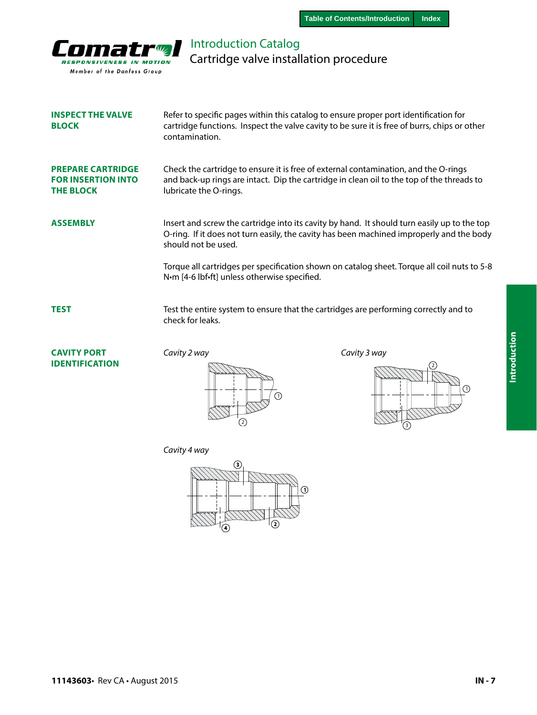

Introduction Catalog Cartridge valve installation procedure

| <b>INSPECT THE VALVE</b><br><b>BLOCK</b>                                  | Refer to specific pages within this catalog to ensure proper port identification for<br>cartridge functions. Inspect the valve cavity to be sure it is free of burrs, chips or other<br>contamination.         |              |
|---------------------------------------------------------------------------|----------------------------------------------------------------------------------------------------------------------------------------------------------------------------------------------------------------|--------------|
| <b>PREPARE CARTRIDGE</b><br><b>FOR INSERTION INTO</b><br><b>THE BLOCK</b> | Check the cartridge to ensure it is free of external contamination, and the O-rings<br>and back-up rings are intact. Dip the cartridge in clean oil to the top of the threads to<br>lubricate the O-rings.     |              |
| <b>ASSEMBLY</b>                                                           | Insert and screw the cartridge into its cavity by hand. It should turn easily up to the top<br>O-ring. If it does not turn easily, the cavity has been machined improperly and the body<br>should not be used. |              |
|                                                                           | Torque all cartridges per specification shown on catalog sheet. Torque all coil nuts to 5-8<br>N·m [4-6 lbf·ft] unless otherwise specified.                                                                    |              |
| <b>TEST</b>                                                               | Test the entire system to ensure that the cartridges are performing correctly and to<br>check for leaks.                                                                                                       |              |
| <b>CAVITY PORT</b><br>IDENTIFICATION                                      | Cavity 2 way                                                                                                                                                                                                   | Cavity 3 way |





*Cavity 4 way*

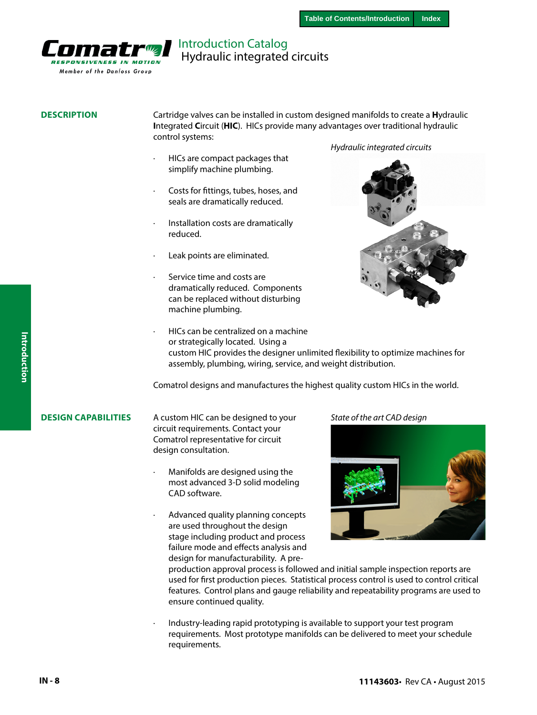

### Introduction Catalog Hydraulic integrated circuits

#### **DESCRIPTION**

Cartridge valves can be installed in custom designed manifolds to create a **H**ydraulic **I**ntegrated **C**ircuit (**HIC**). HICs provide many advantages over traditional hydraulic control systems:

- · HICs are compact packages that simplify machine plumbing.
- Costs for fittings, tubes, hoses, and seals are dramatically reduced.
- · Installation costs are dramatically reduced.
- Leak points are eliminated.
- Service time and costs are dramatically reduced. Components can be replaced without disturbing machine plumbing.

#### *Hydraulic integrated circuits*



· HICs can be centralized on a machine or strategically located. Using a custom HIC provides the designer unlimited flexibility to optimize machines for assembly, plumbing, wiring, service, and weight distribution.

Comatrol designs and manufactures the highest quality custom HICs in the world.

#### **DESIGN CAPABILITIES**

A custom HIC can be designed to your circuit requirements. Contact your Comatrol representative for circuit design consultation.

- · Manifolds are designed using the most advanced 3-D solid modeling CAD software.
- Advanced quality planning concepts are used throughout the design stage including product and process failure mode and effects analysis and design for manufacturability. A pre-

#### *State of the art CAD design*



production approval process is followed and initial sample inspection reports are used for first production pieces. Statistical process control is used to control critical features. Control plans and gauge reliability and repeatability programs are used to ensure continued quality.

· Industry-leading rapid prototyping is available to support your test program requirements. Most prototype manifolds can be delivered to meet your schedule requirements.